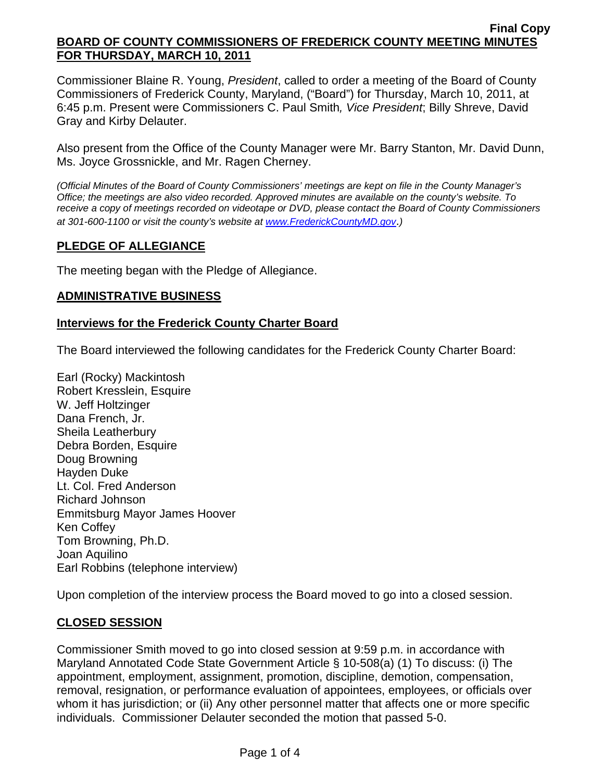Commissioner Blaine R. Young, *President*, called to order a meeting of the Board of County Commissioners of Frederick County, Maryland, ("Board") for Thursday, March 10, 2011, at 6:45 p.m. Present were Commissioners C. Paul Smith*, Vice President*; Billy Shreve, David Gray and Kirby Delauter.

Also present from the Office of the County Manager were Mr. Barry Stanton, Mr. David Dunn, Ms. Joyce Grossnickle, and Mr. Ragen Cherney.

*(Official Minutes of the Board of County Commissioners' meetings are kept on file in the County Manager's Office; the meetings are also video recorded. Approved minutes are available on the county's website. To receive a copy of meetings recorded on videotape or DVD, please contact the Board of County Commissioners at 301-600-1100 or visit the county's website at [www.FrederickCountyMD.gov](http://www.frederickcountymd.gov/)*.*)* 

# **PLEDGE OF ALLEGIANCE**

The meeting began with the Pledge of Allegiance.

# **ADMINISTRATIVE BUSINESS**

# **Interviews for the Frederick County Charter Board**

The Board interviewed the following candidates for the Frederick County Charter Board:

Earl (Rocky) Mackintosh Robert Kresslein, Esquire W. Jeff Holtzinger Dana French, Jr. Sheila Leatherbury Debra Borden, Esquire Doug Browning Hayden Duke Lt. Col. Fred Anderson Richard Johnson Emmitsburg Mayor James Hoover Ken Coffey Tom Browning, Ph.D. Joan Aquilino Earl Robbins (telephone interview)

Upon completion of the interview process the Board moved to go into a closed session.

# **CLOSED SESSION**

Commissioner Smith moved to go into closed session at 9:59 p.m. in accordance with Maryland Annotated Code State Government Article § 10-508(a) (1) To discuss: (i) The appointment, employment, assignment, promotion, discipline, demotion, compensation, removal, resignation, or performance evaluation of appointees, employees, or officials over whom it has jurisdiction; or (ii) Any other personnel matter that affects one or more specific individuals. Commissioner Delauter seconded the motion that passed 5-0.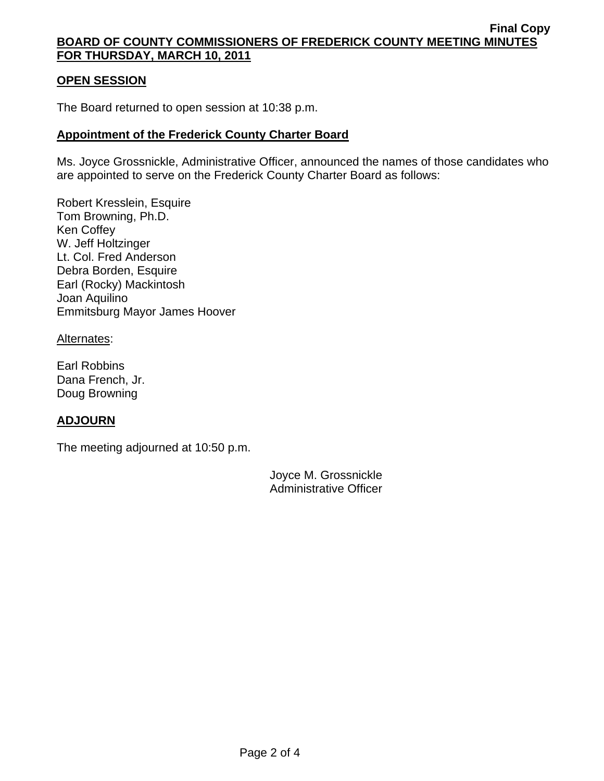# **OPEN SESSION**

The Board returned to open session at 10:38 p.m.

# **Appointment of the Frederick County Charter Board**

Ms. Joyce Grossnickle, Administrative Officer, announced the names of those candidates who are appointed to serve on the Frederick County Charter Board as follows:

Robert Kresslein, Esquire Tom Browning, Ph.D. Ken Coffey W. Jeff Holtzinger Lt. Col. Fred Anderson Debra Borden, Esquire Earl (Rocky) Mackintosh Joan Aquilino Emmitsburg Mayor James Hoover

### Alternates:

Earl Robbins Dana French, Jr. Doug Browning

# **ADJOURN**

The meeting adjourned at 10:50 p.m.

Joyce M. Grossnickle Administrative Officer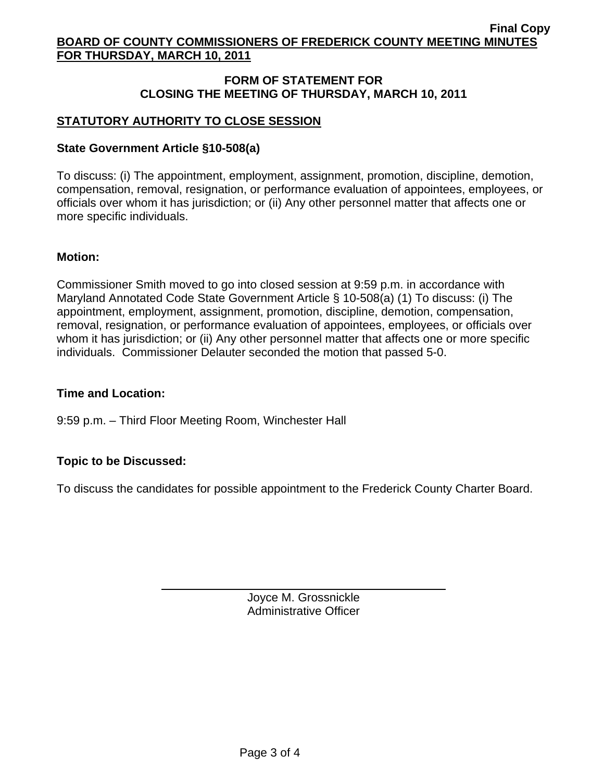# **FORM OF STATEMENT FOR CLOSING THE MEETING OF THURSDAY, MARCH 10, 2011**

# **STATUTORY AUTHORITY TO CLOSE SESSION**

## **State Government Article §10-508(a)**

To discuss: (i) The appointment, employment, assignment, promotion, discipline, demotion, compensation, removal, resignation, or performance evaluation of appointees, employees, or officials over whom it has jurisdiction; or (ii) Any other personnel matter that affects one or more specific individuals.

### **Motion:**

Commissioner Smith moved to go into closed session at 9:59 p.m. in accordance with Maryland Annotated Code State Government Article § 10-508(a) (1) To discuss: (i) The appointment, employment, assignment, promotion, discipline, demotion, compensation, removal, resignation, or performance evaluation of appointees, employees, or officials over whom it has jurisdiction; or (ii) Any other personnel matter that affects one or more specific individuals. Commissioner Delauter seconded the motion that passed 5-0.

# **Time and Location:**

9:59 p.m. – Third Floor Meeting Room, Winchester Hall

# **Topic to be Discussed:**

 $\overline{a}$ 

To discuss the candidates for possible appointment to the Frederick County Charter Board.

Joyce M. Grossnickle Administrative Officer